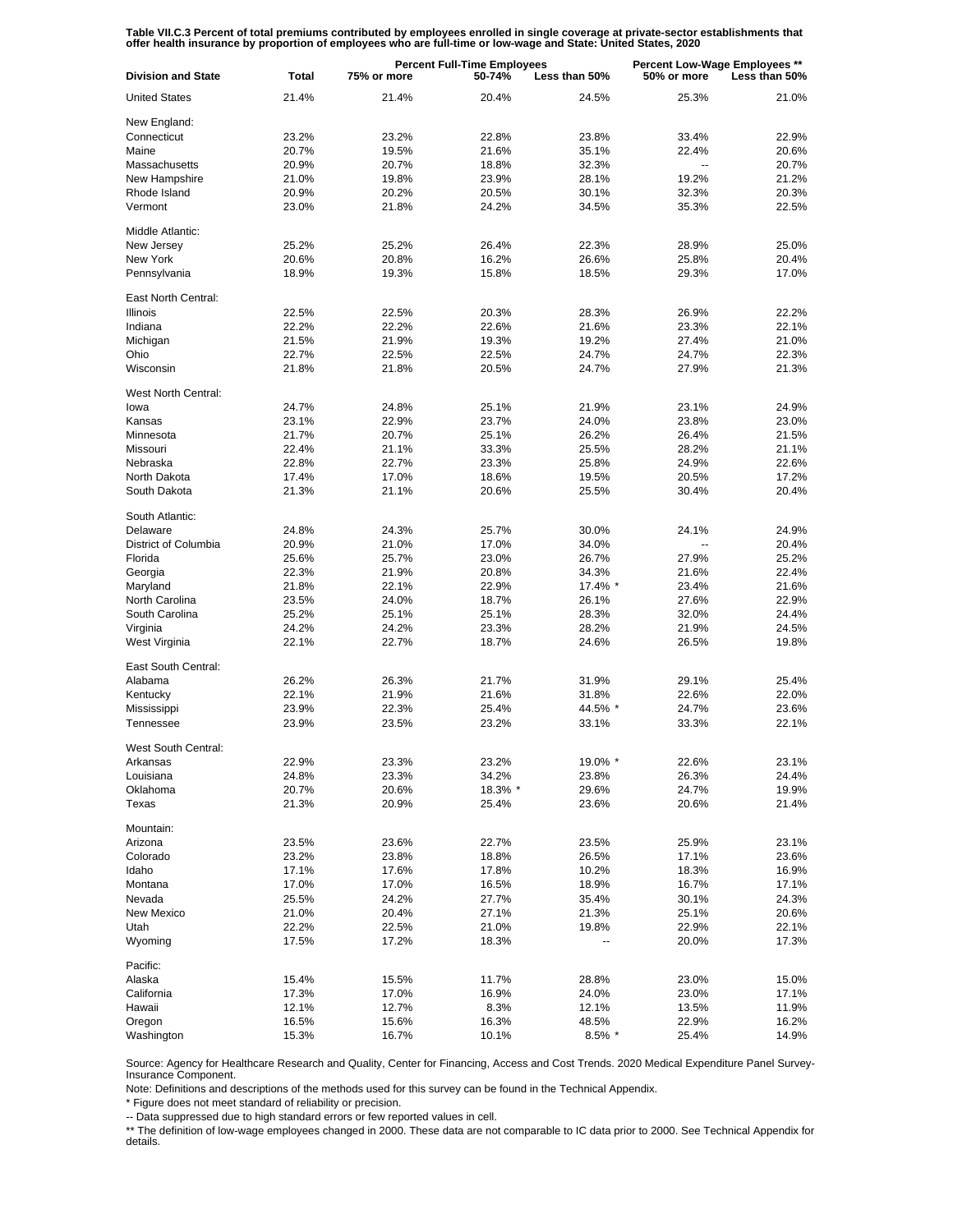Table VII.C.3 Percent of total premiums contributed by employees enrolled in single coverage at private-sector establishments that<br>offer health insurance by proportion of employees who are full-time or low-wage and State:

| <b>Division and State</b>      | <b>Total</b>   | <b>Percent Full-Time Employees</b><br>75% or more<br>50-74%<br>Less than 50% |         |                | Percent Low-Wage Employees **<br>50% or more<br>Less than 50% |       |
|--------------------------------|----------------|------------------------------------------------------------------------------|---------|----------------|---------------------------------------------------------------|-------|
| <b>United States</b>           | 21.4%          | 21.4%                                                                        | 20.4%   | 24.5%          | 25.3%                                                         | 21.0% |
| New England:                   |                |                                                                              |         |                |                                                               |       |
| Connecticut                    | 23.2%          | 23.2%                                                                        | 22.8%   | 23.8%          | 33.4%                                                         | 22.9% |
| Maine                          | 20.7%          | 19.5%                                                                        | 21.6%   | 35.1%          | 22.4%                                                         | 20.6% |
| Massachusetts                  | 20.9%          | 20.7%                                                                        | 18.8%   | 32.3%          | $\overline{a}$                                                | 20.7% |
| New Hampshire                  | 21.0%          | 19.8%                                                                        | 23.9%   | 28.1%          | 19.2%                                                         | 21.2% |
| Rhode Island                   | 20.9%          | 20.2%                                                                        | 20.5%   | 30.1%          | 32.3%                                                         | 20.3% |
| Vermont                        | 23.0%          | 21.8%                                                                        | 24.2%   | 34.5%          | 35.3%                                                         | 22.5% |
|                                |                |                                                                              |         |                |                                                               |       |
| Middle Atlantic:<br>New Jersey | 25.2%          | 25.2%                                                                        | 26.4%   | 22.3%          | 28.9%                                                         | 25.0% |
| New York                       |                |                                                                              | 16.2%   |                |                                                               | 20.4% |
| Pennsylvania                   | 20.6%<br>18.9% | 20.8%<br>19.3%                                                               | 15.8%   | 26.6%<br>18.5% | 25.8%<br>29.3%                                                | 17.0% |
|                                |                |                                                                              |         |                |                                                               |       |
| East North Central:            |                |                                                                              |         |                |                                                               |       |
| <b>Illinois</b>                | 22.5%          | 22.5%                                                                        | 20.3%   | 28.3%          | 26.9%                                                         | 22.2% |
| Indiana                        | 22.2%          | 22.2%                                                                        | 22.6%   | 21.6%          | 23.3%                                                         | 22.1% |
| Michigan                       | 21.5%          | 21.9%                                                                        | 19.3%   | 19.2%          | 27.4%                                                         | 21.0% |
| Ohio                           | 22.7%          | 22.5%                                                                        | 22.5%   | 24.7%          | 24.7%                                                         | 22.3% |
| Wisconsin                      | 21.8%          | 21.8%                                                                        | 20.5%   | 24.7%          | 27.9%                                                         | 21.3% |
| West North Central:            |                |                                                                              |         |                |                                                               |       |
| lowa                           | 24.7%          | 24.8%                                                                        | 25.1%   | 21.9%          | 23.1%                                                         | 24.9% |
| Kansas                         | 23.1%          | 22.9%                                                                        | 23.7%   | 24.0%          | 23.8%                                                         | 23.0% |
| Minnesota                      | 21.7%          | 20.7%                                                                        | 25.1%   | 26.2%          | 26.4%                                                         | 21.5% |
| Missouri                       | 22.4%          | 21.1%                                                                        | 33.3%   | 25.5%          | 28.2%                                                         | 21.1% |
| Nebraska                       | 22.8%          | 22.7%                                                                        | 23.3%   | 25.8%          | 24.9%                                                         | 22.6% |
| North Dakota                   | 17.4%          | 17.0%                                                                        | 18.6%   | 19.5%          | 20.5%                                                         | 17.2% |
| South Dakota                   | 21.3%          | 21.1%                                                                        | 20.6%   | 25.5%          | 30.4%                                                         | 20.4% |
| South Atlantic:                |                |                                                                              |         |                |                                                               |       |
| Delaware                       | 24.8%          | 24.3%                                                                        | 25.7%   | 30.0%          | 24.1%                                                         | 24.9% |
| District of Columbia           | 20.9%          | 21.0%                                                                        | 17.0%   | 34.0%          |                                                               | 20.4% |
| Florida                        | 25.6%          | 25.7%                                                                        | 23.0%   | 26.7%          | 27.9%                                                         | 25.2% |
| Georgia                        | 22.3%          | 21.9%                                                                        | 20.8%   | 34.3%          | 21.6%                                                         | 22.4% |
| Maryland                       | 21.8%          | 22.1%                                                                        | 22.9%   | 17.4% *        | 23.4%                                                         | 21.6% |
| North Carolina                 | 23.5%          | 24.0%                                                                        | 18.7%   | 26.1%          | 27.6%                                                         | 22.9% |
| South Carolina                 | 25.2%          | 25.1%                                                                        | 25.1%   | 28.3%          | 32.0%                                                         | 24.4% |
| Virginia                       | 24.2%          | 24.2%                                                                        | 23.3%   | 28.2%          | 21.9%                                                         | 24.5% |
| West Virginia                  | 22.1%          | 22.7%                                                                        | 18.7%   | 24.6%          | 26.5%                                                         | 19.8% |
| East South Central:            |                |                                                                              |         |                |                                                               |       |
| Alabama                        | 26.2%          | 26.3%                                                                        | 21.7%   | 31.9%          | 29.1%                                                         | 25.4% |
| Kentucky                       | 22.1%          | 21.9%                                                                        | 21.6%   | 31.8%          | 22.6%                                                         | 22.0% |
| Mississippi                    | 23.9%          | 22.3%                                                                        | 25.4%   | 44.5% *        | 24.7%                                                         | 23.6% |
| Tennessee                      | 23.9%          | 23.5%                                                                        | 23.2%   | 33.1%          | 33.3%                                                         | 22.1% |
| <b>West South Central:</b>     |                |                                                                              |         |                |                                                               |       |
| Arkansas                       | 22.9%          | 23.3%                                                                        | 23.2%   | 19.0% *        | 22.6%                                                         | 23.1% |
| Louisiana                      | 24.8%          | 23.3%                                                                        | 34.2%   | 23.8%          | 26.3%                                                         | 24.4% |
| Oklahoma                       | 20.7%          | 20.6%                                                                        | 18.3% * | 29.6%          | 24.7%                                                         | 19.9% |
| Texas                          | 21.3%          | 20.9%                                                                        | 25.4%   | 23.6%          | 20.6%                                                         | 21.4% |
| Mountain:                      |                |                                                                              |         |                |                                                               |       |
| Arizona                        | 23.5%          | 23.6%                                                                        | 22.7%   | 23.5%          | 25.9%                                                         | 23.1% |
| Colorado                       | 23.2%          | 23.8%                                                                        | 18.8%   | 26.5%          | 17.1%                                                         | 23.6% |
| Idaho                          | 17.1%          | 17.6%                                                                        | 17.8%   | 10.2%          | 18.3%                                                         | 16.9% |
| Montana                        | 17.0%          | 17.0%                                                                        | 16.5%   | 18.9%          | 16.7%                                                         | 17.1% |
| Nevada                         | 25.5%          | 24.2%                                                                        | 27.7%   | 35.4%          | 30.1%                                                         | 24.3% |
| New Mexico                     | 21.0%          | 20.4%                                                                        | 27.1%   | 21.3%          | 25.1%                                                         | 20.6% |
| Utah                           | 22.2%          | 22.5%                                                                        | 21.0%   | 19.8%          | 22.9%                                                         | 22.1% |
| Wyoming                        | 17.5%          | 17.2%                                                                        | 18.3%   |                | 20.0%                                                         | 17.3% |
| Pacific:                       |                |                                                                              |         |                |                                                               |       |
| Alaska                         | 15.4%          | 15.5%                                                                        | 11.7%   | 28.8%          | 23.0%                                                         | 15.0% |
| California                     | 17.3%          | 17.0%                                                                        | 16.9%   | 24.0%          | 23.0%                                                         | 17.1% |
| Hawaii                         | 12.1%          | 12.7%                                                                        | 8.3%    | 12.1%          | 13.5%                                                         | 11.9% |
| Oregon                         | 16.5%          | 15.6%                                                                        | 16.3%   | 48.5%          | 22.9%                                                         | 16.2% |
| Washington                     | 15.3%          | 16.7%                                                                        | 10.1%   | $8.5\%$ *      | 25.4%                                                         | 14.9% |

Source: Agency for Healthcare Research and Quality, Center for Financing, Access and Cost Trends. 2020 Medical Expenditure Panel Survey-Insurance Component.

Note: Definitions and descriptions of the methods used for this survey can be found in the Technical Appendix.

\* Figure does not meet standard of reliability or precision.

-- Data suppressed due to high standard errors or few reported values in cell.

\*\* The definition of low-wage employees changed in 2000. These data are not comparable to IC data prior to 2000. See Technical Appendix for details.